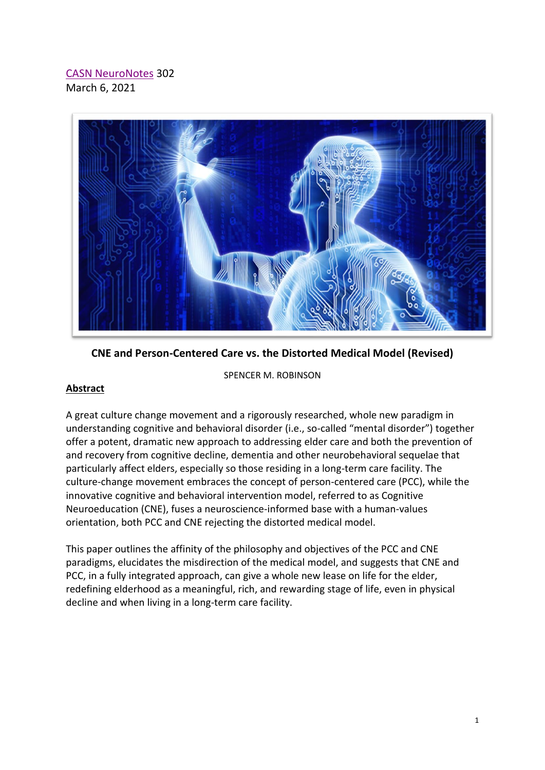# [CASN NeuroNotes](https://www.brain-mind-behavior.org/casn-neuronotes) 302 March 6, 2021



**CNE and Person-Centered Care vs. the Distorted Medical Model (Revised)**

### SPENCER M. ROBINSON

## **Abstract**

A great culture change movement and a rigorously researched, whole new paradigm in understanding cognitive and behavioral disorder (i.e., so-called "mental disorder") together offer a potent, dramatic new approach to addressing elder care and both the prevention of and recovery from cognitive decline, dementia and other neurobehavioral sequelae that particularly affect elders, especially so those residing in a long-term care facility. The culture-change movement embraces the concept of person-centered care (PCC), while the innovative cognitive and behavioral intervention model, referred to as Cognitive Neuroeducation (CNE), fuses a neuroscience-informed base with a human-values orientation, both PCC and CNE rejecting the distorted medical model.

This paper outlines the affinity of the philosophy and objectives of the PCC and CNE paradigms, elucidates the misdirection of the medical model, and suggests that CNE and PCC, in a fully integrated approach, can give a whole new lease on life for the elder, redefining elderhood as a meaningful, rich, and rewarding stage of life, even in physical decline and when living in a long-term care facility.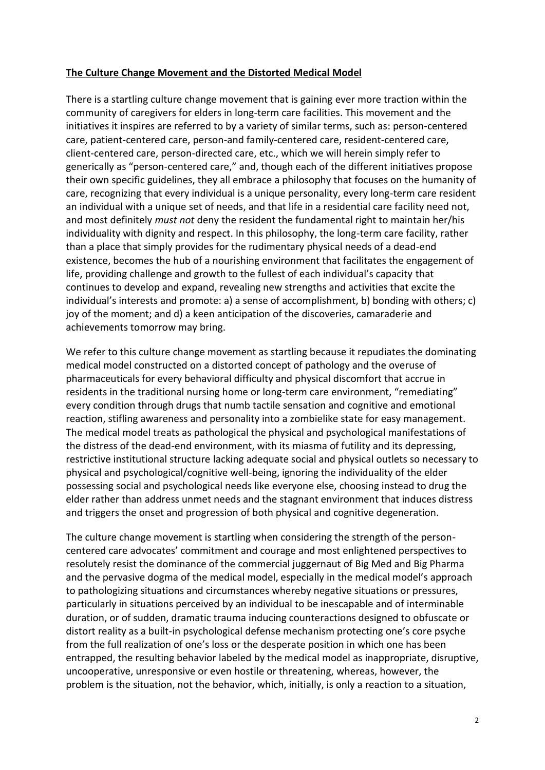### **The Culture Change Movement and the Distorted Medical Model**

There is a startling culture change movement that is gaining ever more traction within the community of caregivers for elders in long-term care facilities. This movement and the initiatives it inspires are referred to by a variety of similar terms, such as: person-centered care, patient-centered care, person-and family-centered care, resident-centered care, client-centered care, person-directed care, etc., which we will herein simply refer to generically as "person-centered care," and, though each of the different initiatives propose their own specific guidelines, they all embrace a philosophy that focuses on the humanity of care, recognizing that every individual is a unique personality, every long-term care resident an individual with a unique set of needs, and that life in a residential care facility need not, and most definitely *must not* deny the resident the fundamental right to maintain her/his individuality with dignity and respect. In this philosophy, the long-term care facility, rather than a place that simply provides for the rudimentary physical needs of a dead-end existence, becomes the hub of a nourishing environment that facilitates the engagement of life, providing challenge and growth to the fullest of each individual's capacity that continues to develop and expand, revealing new strengths and activities that excite the individual's interests and promote: a) a sense of accomplishment, b) bonding with others; c) joy of the moment; and d) a keen anticipation of the discoveries, camaraderie and achievements tomorrow may bring.

We refer to this culture change movement as startling because it repudiates the dominating medical model constructed on a distorted concept of pathology and the overuse of pharmaceuticals for every behavioral difficulty and physical discomfort that accrue in residents in the traditional nursing home or long-term care environment, "remediating" every condition through drugs that numb tactile sensation and cognitive and emotional reaction, stifling awareness and personality into a zombielike state for easy management. The medical model treats as pathological the physical and psychological manifestations of the distress of the dead-end environment, with its miasma of futility and its depressing, restrictive institutional structure lacking adequate social and physical outlets so necessary to physical and psychological/cognitive well-being, ignoring the individuality of the elder possessing social and psychological needs like everyone else, choosing instead to drug the elder rather than address unmet needs and the stagnant environment that induces distress and triggers the onset and progression of both physical and cognitive degeneration.

The culture change movement is startling when considering the strength of the personcentered care advocates' commitment and courage and most enlightened perspectives to resolutely resist the dominance of the commercial juggernaut of Big Med and Big Pharma and the pervasive dogma of the medical model, especially in the medical model's approach to pathologizing situations and circumstances whereby negative situations or pressures, particularly in situations perceived by an individual to be inescapable and of interminable duration, or of sudden, dramatic trauma inducing counteractions designed to obfuscate or distort reality as a built-in psychological defense mechanism protecting one's core psyche from the full realization of one's loss or the desperate position in which one has been entrapped, the resulting behavior labeled by the medical model as inappropriate, disruptive, uncooperative, unresponsive or even hostile or threatening, whereas, however, the problem is the situation, not the behavior, which, initially, is only a reaction to a situation,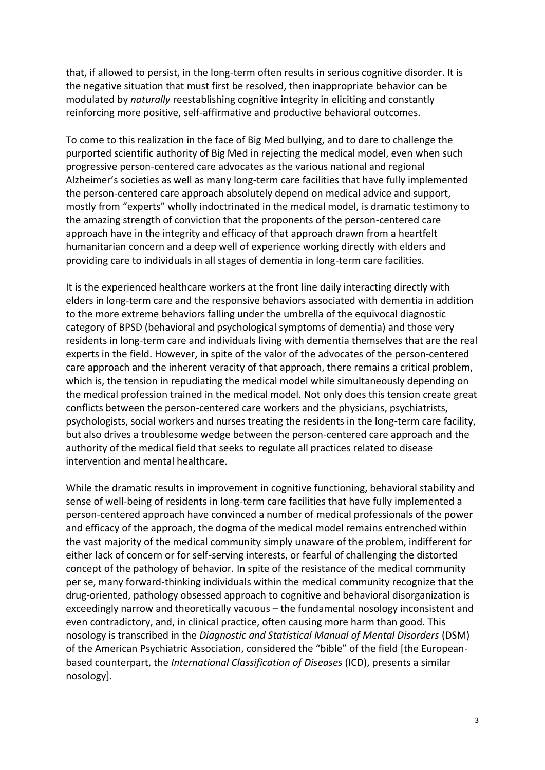that, if allowed to persist, in the long-term often results in serious cognitive disorder. It is the negative situation that must first be resolved, then inappropriate behavior can be modulated by *naturally* reestablishing cognitive integrity in eliciting and constantly reinforcing more positive, self-affirmative and productive behavioral outcomes.

To come to this realization in the face of Big Med bullying, and to dare to challenge the purported scientific authority of Big Med in rejecting the medical model, even when such progressive person-centered care advocates as the various national and regional Alzheimer's societies as well as many long-term care facilities that have fully implemented the person-centered care approach absolutely depend on medical advice and support, mostly from "experts" wholly indoctrinated in the medical model, is dramatic testimony to the amazing strength of conviction that the proponents of the person-centered care approach have in the integrity and efficacy of that approach drawn from a heartfelt humanitarian concern and a deep well of experience working directly with elders and providing care to individuals in all stages of dementia in long-term care facilities.

It is the experienced healthcare workers at the front line daily interacting directly with elders in long-term care and the responsive behaviors associated with dementia in addition to the more extreme behaviors falling under the umbrella of the equivocal diagnostic category of BPSD (behavioral and psychological symptoms of dementia) and those very residents in long-term care and individuals living with dementia themselves that are the real experts in the field. However, in spite of the valor of the advocates of the person-centered care approach and the inherent veracity of that approach, there remains a critical problem, which is, the tension in repudiating the medical model while simultaneously depending on the medical profession trained in the medical model. Not only does this tension create great conflicts between the person-centered care workers and the physicians, psychiatrists, psychologists, social workers and nurses treating the residents in the long-term care facility, but also drives a troublesome wedge between the person-centered care approach and the authority of the medical field that seeks to regulate all practices related to disease intervention and mental healthcare.

While the dramatic results in improvement in cognitive functioning, behavioral stability and sense of well-being of residents in long-term care facilities that have fully implemented a person-centered approach have convinced a number of medical professionals of the power and efficacy of the approach, the dogma of the medical model remains entrenched within the vast majority of the medical community simply unaware of the problem, indifferent for either lack of concern or for self-serving interests, or fearful of challenging the distorted concept of the pathology of behavior. In spite of the resistance of the medical community per se, many forward-thinking individuals within the medical community recognize that the drug-oriented, pathology obsessed approach to cognitive and behavioral disorganization is exceedingly narrow and theoretically vacuous – the fundamental nosology inconsistent and even contradictory, and, in clinical practice, often causing more harm than good. This nosology is transcribed in the *Diagnostic and Statistical Manual of Mental Disorders* (DSM) of the American Psychiatric Association, considered the "bible" of the field [the Europeanbased counterpart, the *International Classification of Diseases* (ICD), presents a similar nosology].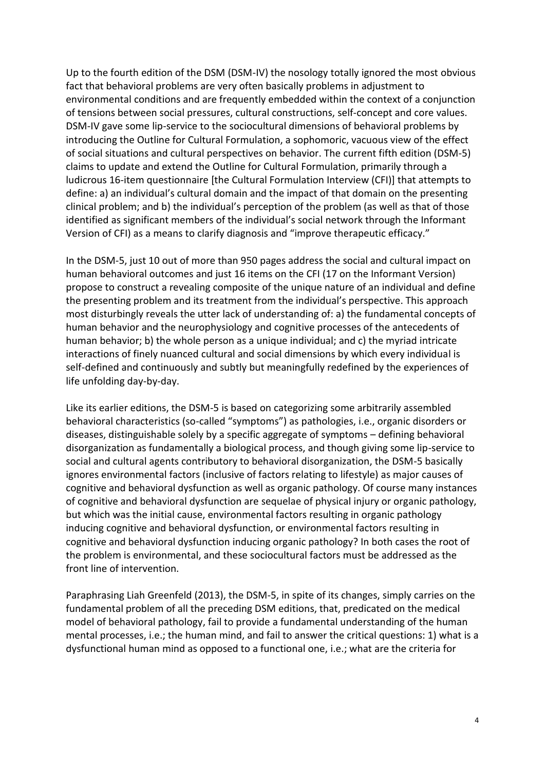Up to the fourth edition of the DSM (DSM-IV) the nosology totally ignored the most obvious fact that behavioral problems are very often basically problems in adjustment to environmental conditions and are frequently embedded within the context of a conjunction of tensions between social pressures, cultural constructions, self-concept and core values. DSM-IV gave some lip-service to the sociocultural dimensions of behavioral problems by introducing the Outline for Cultural Formulation, a sophomoric, vacuous view of the effect of social situations and cultural perspectives on behavior. The current fifth edition (DSM-5) claims to update and extend the Outline for Cultural Formulation, primarily through a ludicrous 16-item questionnaire [the Cultural Formulation Interview (CFI)] that attempts to define: a) an individual's cultural domain and the impact of that domain on the presenting clinical problem; and b) the individual's perception of the problem (as well as that of those identified as significant members of the individual's social network through the Informant Version of CFI) as a means to clarify diagnosis and "improve therapeutic efficacy."

In the DSM-5, just 10 out of more than 950 pages address the social and cultural impact on human behavioral outcomes and just 16 items on the CFI (17 on the Informant Version) propose to construct a revealing composite of the unique nature of an individual and define the presenting problem and its treatment from the individual's perspective. This approach most disturbingly reveals the utter lack of understanding of: a) the fundamental concepts of human behavior and the neurophysiology and cognitive processes of the antecedents of human behavior; b) the whole person as a unique individual; and c) the myriad intricate interactions of finely nuanced cultural and social dimensions by which every individual is self-defined and continuously and subtly but meaningfully redefined by the experiences of life unfolding day-by-day.

Like its earlier editions, the DSM-5 is based on categorizing some arbitrarily assembled behavioral characteristics (so-called "symptoms") as pathologies, i.e., organic disorders or diseases, distinguishable solely by a specific aggregate of symptoms – defining behavioral disorganization as fundamentally a biological process, and though giving some lip-service to social and cultural agents contributory to behavioral disorganization, the DSM-5 basically ignores environmental factors (inclusive of factors relating to lifestyle) as major causes of cognitive and behavioral dysfunction as well as organic pathology. Of course many instances of cognitive and behavioral dysfunction are sequelae of physical injury or organic pathology, but which was the initial cause, environmental factors resulting in organic pathology inducing cognitive and behavioral dysfunction, or environmental factors resulting in cognitive and behavioral dysfunction inducing organic pathology? In both cases the root of the problem is environmental, and these sociocultural factors must be addressed as the front line of intervention.

Paraphrasing Liah Greenfeld (2013), the DSM-5, in spite of its changes, simply carries on the fundamental problem of all the preceding DSM editions, that, predicated on the medical model of behavioral pathology, fail to provide a fundamental understanding of the human mental processes, i.e.; the human mind, and fail to answer the critical questions: 1) what is a dysfunctional human mind as opposed to a functional one, i.e.; what are the criteria for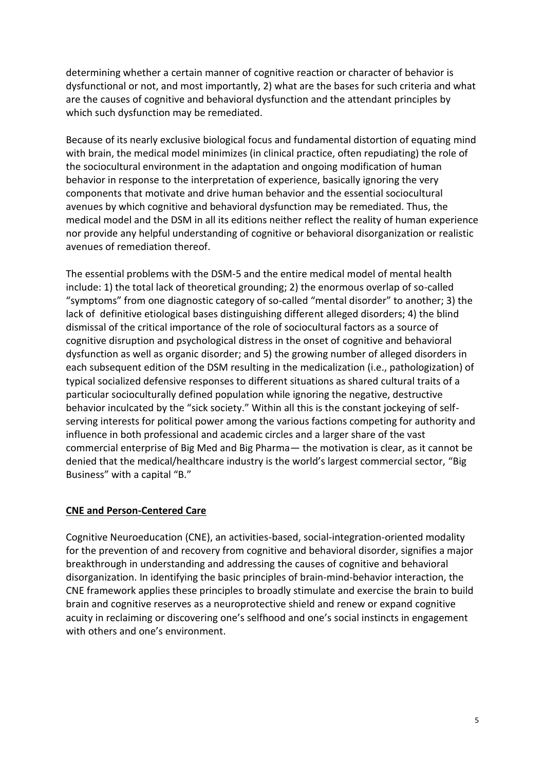determining whether a certain manner of cognitive reaction or character of behavior is dysfunctional or not, and most importantly, 2) what are the bases for such criteria and what are the causes of cognitive and behavioral dysfunction and the attendant principles by which such dysfunction may be remediated.

Because of its nearly exclusive biological focus and fundamental distortion of equating mind with brain, the medical model minimizes (in clinical practice, often repudiating) the role of the sociocultural environment in the adaptation and ongoing modification of human behavior in response to the interpretation of experience, basically ignoring the very components that motivate and drive human behavior and the essential sociocultural avenues by which cognitive and behavioral dysfunction may be remediated. Thus, the medical model and the DSM in all its editions neither reflect the reality of human experience nor provide any helpful understanding of cognitive or behavioral disorganization or realistic avenues of remediation thereof.

The essential problems with the DSM-5 and the entire medical model of mental health include: 1) the total lack of theoretical grounding; 2) the enormous overlap of so-called "symptoms" from one diagnostic category of so-called "mental disorder" to another; 3) the lack of definitive etiological bases distinguishing different alleged disorders; 4) the blind dismissal of the critical importance of the role of sociocultural factors as a source of cognitive disruption and psychological distress in the onset of cognitive and behavioral dysfunction as well as organic disorder; and 5) the growing number of alleged disorders in each subsequent edition of the DSM resulting in the medicalization (i.e., pathologization) of typical socialized defensive responses to different situations as shared cultural traits of a particular socioculturally defined population while ignoring the negative, destructive behavior inculcated by the "sick society." Within all this is the constant jockeying of selfserving interests for political power among the various factions competing for authority and influence in both professional and academic circles and a larger share of the vast commercial enterprise of Big Med and Big Pharma— the motivation is clear, as it cannot be denied that the medical/healthcare industry is the world's largest commercial sector, "Big Business" with a capital "B."

## **CNE and Person-Centered Care**

Cognitive Neuroeducation (CNE), an activities-based, social-integration-oriented modality for the prevention of and recovery from cognitive and behavioral disorder, signifies a major breakthrough in understanding and addressing the causes of cognitive and behavioral disorganization. In identifying the basic principles of brain-mind-behavior interaction, the CNE framework applies these principles to broadly stimulate and exercise the brain to build brain and cognitive reserves as a neuroprotective shield and renew or expand cognitive acuity in reclaiming or discovering one's selfhood and one's social instincts in engagement with others and one's environment.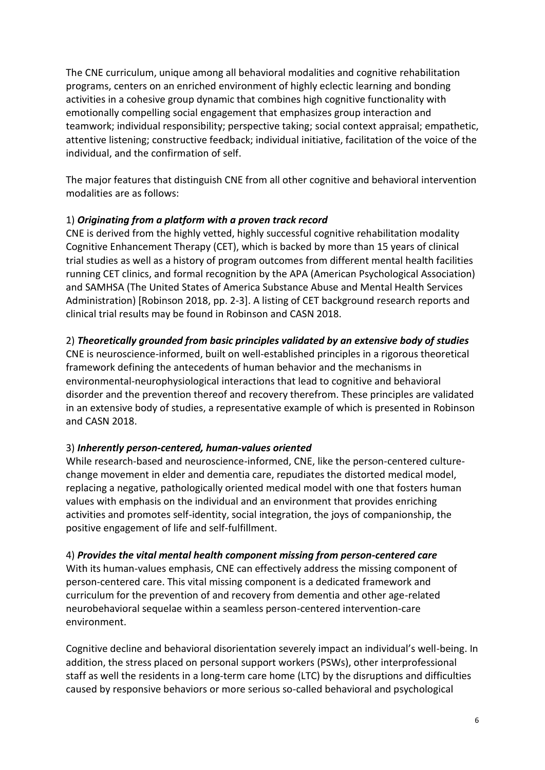The CNE curriculum, unique among all behavioral modalities and cognitive rehabilitation programs, centers on an enriched environment of highly eclectic learning and bonding activities in a cohesive group dynamic that combines high cognitive functionality with emotionally compelling social engagement that emphasizes group interaction and teamwork; individual responsibility; perspective taking; social context appraisal; empathetic, attentive listening; constructive feedback; individual initiative, facilitation of the voice of the individual, and the confirmation of self.

The major features that distinguish CNE from all other cognitive and behavioral intervention modalities are as follows:

## 1) *Originating from a platform with a proven track record*

CNE is derived from the highly vetted, highly successful cognitive rehabilitation modality Cognitive Enhancement Therapy (CET), which is backed by more than 15 years of clinical trial studies as well as a history of program outcomes from different mental health facilities running CET clinics, and formal recognition by the APA (American Psychological Association) and SAMHSA (The United States of America Substance Abuse and Mental Health Services Administration) [Robinson 2018, pp. 2-3]. A listing of CET background research reports and clinical trial results may be found in Robinson and CASN 2018.

### 2) *Theoretically grounded from basic principles validated by an extensive body of studies*

CNE is neuroscience-informed, built on well-established principles in a rigorous theoretical framework defining the antecedents of human behavior and the mechanisms in environmental-neurophysiological interactions that lead to cognitive and behavioral disorder and the prevention thereof and recovery therefrom. These principles are validated in an extensive body of studies, a representative example of which is presented in Robinson and CASN 2018.

## 3) *Inherently person-centered, human-values oriented*

While research-based and neuroscience-informed, CNE, like the person-centered culturechange movement in elder and dementia care, repudiates the distorted medical model, replacing a negative, pathologically oriented medical model with one that fosters human values with emphasis on the individual and an environment that provides enriching activities and promotes self-identity, social integration, the joys of companionship, the positive engagement of life and self-fulfillment.

### 4) *Provides the vital mental health component missing from person-centered care*

With its human-values emphasis, CNE can effectively address the missing component of person-centered care. This vital missing component is a dedicated framework and curriculum for the prevention of and recovery from dementia and other age-related neurobehavioral sequelae within a seamless person-centered intervention-care environment.

Cognitive decline and behavioral disorientation severely impact an individual's well-being. In addition, the stress placed on personal support workers (PSWs), other interprofessional staff as well the residents in a long-term care home (LTC) by the disruptions and difficulties caused by responsive behaviors or more serious so-called behavioral and psychological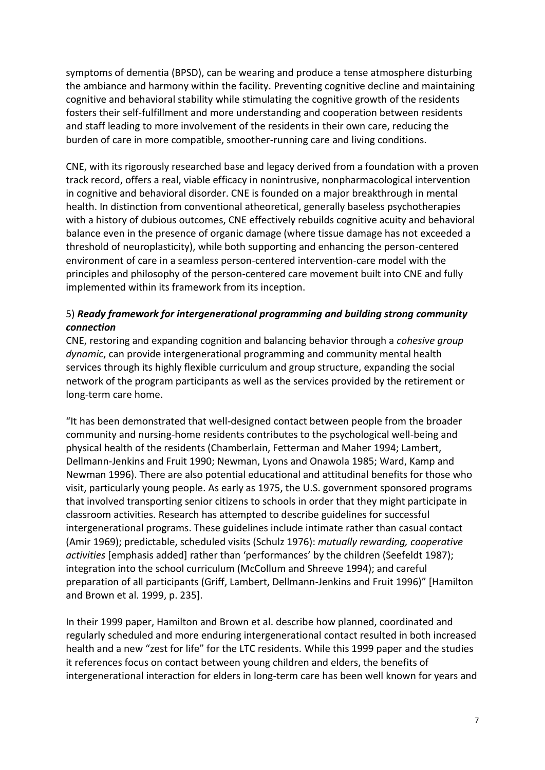symptoms of dementia (BPSD), can be wearing and produce a tense atmosphere disturbing the ambiance and harmony within the facility. Preventing cognitive decline and maintaining cognitive and behavioral stability while stimulating the cognitive growth of the residents fosters their self-fulfillment and more understanding and cooperation between residents and staff leading to more involvement of the residents in their own care, reducing the burden of care in more compatible, smoother-running care and living conditions.

CNE, with its rigorously researched base and legacy derived from a foundation with a proven track record, offers a real, viable efficacy in nonintrusive, nonpharmacological intervention in cognitive and behavioral disorder. CNE is founded on a major breakthrough in mental health. In distinction from conventional atheoretical, generally baseless psychotherapies with a history of dubious outcomes, CNE effectively rebuilds cognitive acuity and behavioral balance even in the presence of organic damage (where tissue damage has not exceeded a threshold of neuroplasticity), while both supporting and enhancing the person-centered environment of care in a seamless person-centered intervention-care model with the principles and philosophy of the person-centered care movement built into CNE and fully implemented within its framework from its inception.

# 5) *Ready framework for intergenerational programming and building strong community connection*

CNE, restoring and expanding cognition and balancing behavior through a *cohesive group dynamic*, can provide intergenerational programming and community mental health services through its highly flexible curriculum and group structure, expanding the social network of the program participants as well as the services provided by the retirement or long-term care home.

"It has been demonstrated that well-designed contact between people from the broader community and nursing-home residents contributes to the psychological well-being and physical health of the residents (Chamberlain, Fetterman and Maher 1994; Lambert, Dellmann-Jenkins and Fruit 1990; Newman, Lyons and Onawola 1985; Ward, Kamp and Newman 1996). There are also potential educational and attitudinal benefits for those who visit, particularly young people. As early as 1975, the U.S. government sponsored programs that involved transporting senior citizens to schools in order that they might participate in classroom activities. Research has attempted to describe guidelines for successful intergenerational programs. These guidelines include intimate rather than casual contact (Amir 1969); predictable, scheduled visits (Schulz 1976): *mutually rewarding, cooperative activities* [emphasis added] rather than 'performances' by the children (Seefeldt 1987); integration into the school curriculum (McCollum and Shreeve 1994); and careful preparation of all participants (Griff, Lambert, Dellmann-Jenkins and Fruit 1996)" [Hamilton and Brown et al. 1999, p. 235].

In their 1999 paper, Hamilton and Brown et al. describe how planned, coordinated and regularly scheduled and more enduring intergenerational contact resulted in both increased health and a new "zest for life" for the LTC residents. While this 1999 paper and the studies it references focus on contact between young children and elders, the benefits of intergenerational interaction for elders in long-term care has been well known for years and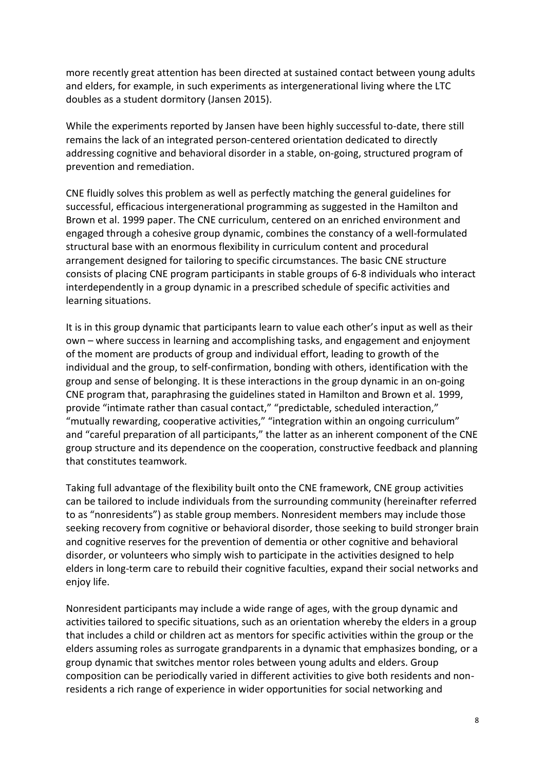more recently great attention has been directed at sustained contact between young adults and elders, for example, in such experiments as intergenerational living where the LTC doubles as a student dormitory (Jansen 2015).

While the experiments reported by Jansen have been highly successful to-date, there still remains the lack of an integrated person-centered orientation dedicated to directly addressing cognitive and behavioral disorder in a stable, on-going, structured program of prevention and remediation.

CNE fluidly solves this problem as well as perfectly matching the general guidelines for successful, efficacious intergenerational programming as suggested in the Hamilton and Brown et al. 1999 paper. The CNE curriculum, centered on an enriched environment and engaged through a cohesive group dynamic, combines the constancy of a well-formulated structural base with an enormous flexibility in curriculum content and procedural arrangement designed for tailoring to specific circumstances. The basic CNE structure consists of placing CNE program participants in stable groups of 6-8 individuals who interact interdependently in a group dynamic in a prescribed schedule of specific activities and learning situations.

It is in this group dynamic that participants learn to value each other's input as well as their own – where success in learning and accomplishing tasks, and engagement and enjoyment of the moment are products of group and individual effort, leading to growth of the individual and the group, to self-confirmation, bonding with others, identification with the group and sense of belonging. It is these interactions in the group dynamic in an on-going CNE program that, paraphrasing the guidelines stated in Hamilton and Brown et al. 1999, provide "intimate rather than casual contact," "predictable, scheduled interaction," "mutually rewarding, cooperative activities," "integration within an ongoing curriculum" and "careful preparation of all participants," the latter as an inherent component of the CNE group structure and its dependence on the cooperation, constructive feedback and planning that constitutes teamwork.

Taking full advantage of the flexibility built onto the CNE framework, CNE group activities can be tailored to include individuals from the surrounding community (hereinafter referred to as "nonresidents") as stable group members. Nonresident members may include those seeking recovery from cognitive or behavioral disorder, those seeking to build stronger brain and cognitive reserves for the prevention of dementia or other cognitive and behavioral disorder, or volunteers who simply wish to participate in the activities designed to help elders in long-term care to rebuild their cognitive faculties, expand their social networks and enjoy life.

Nonresident participants may include a wide range of ages, with the group dynamic and activities tailored to specific situations, such as an orientation whereby the elders in a group that includes a child or children act as mentors for specific activities within the group or the elders assuming roles as surrogate grandparents in a dynamic that emphasizes bonding, or a group dynamic that switches mentor roles between young adults and elders. Group composition can be periodically varied in different activities to give both residents and nonresidents a rich range of experience in wider opportunities for social networking and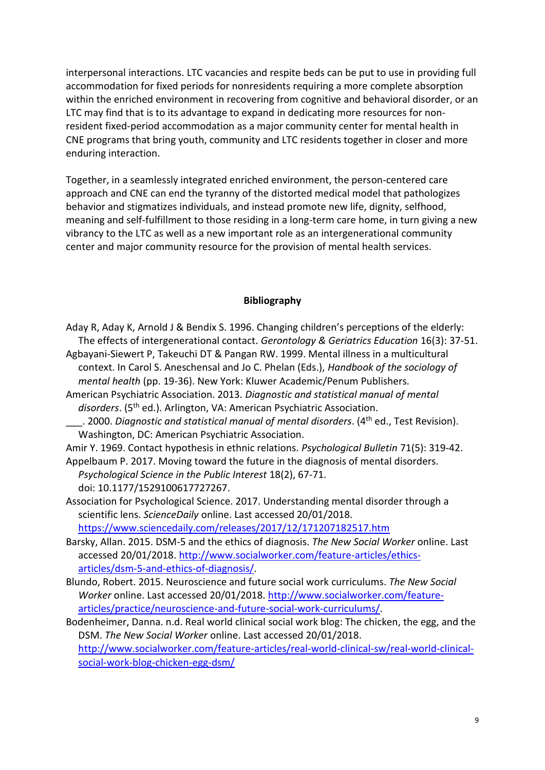interpersonal interactions. LTC vacancies and respite beds can be put to use in providing full accommodation for fixed periods for nonresidents requiring a more complete absorption within the enriched environment in recovering from cognitive and behavioral disorder, or an LTC may find that is to its advantage to expand in dedicating more resources for nonresident fixed-period accommodation as a major community center for mental health in CNE programs that bring youth, community and LTC residents together in closer and more enduring interaction.

Together, in a seamlessly integrated enriched environment, the person-centered care approach and CNE can end the tyranny of the distorted medical model that pathologizes behavior and stigmatizes individuals, and instead promote new life, dignity, selfhood, meaning and self-fulfillment to those residing in a long-term care home, in turn giving a new vibrancy to the LTC as well as a new important role as an intergenerational community center and major community resource for the provision of mental health services.

#### **Bibliography**

Aday R, Aday K, Arnold J & Bendix S. 1996. Changing children's perceptions of the elderly: The effects of intergenerational contact. *Gerontology & Geriatrics Education* 16(3): 37-51.

Agbayani-Siewert P, Takeuchi DT & Pangan RW. 1999. Mental illness in a multicultural context. In Carol S. Aneschensal and Jo C. Phelan (Eds.), *Handbook of the sociology of mental health* (pp. 19-36). New York: Kluwer Academic/Penum Publishers.

American Psychiatric Association. 2013. *Diagnostic and statistical manual of mental*  disorders. (5<sup>th</sup> ed.). Arlington, VA: American Psychiatric Association.

\_\_\_. 2000. *Diagnostic and statistical manual of mental disorders*. (4th ed., Test Revision). Washington, DC: American Psychiatric Association.

Amir Y. 1969. Contact hypothesis in ethnic relations. *Psychological Bulletin* 71(5): 319-42. Appelbaum P. 2017. Moving toward the future in the diagnosis of mental disorders.

*Psychological Science in the Public Interest* 18(2), 67-71. doi: 10.1177/1529100617727267.

Association for Psychological Science. 2017. Understanding mental disorder through a scientific lens. *ScienceDaily* online. Last accessed 20/01/2018.

<https://www.sciencedaily.com/releases/2017/12/171207182517.htm>

- Barsky, Allan. 2015. DSM-5 and the ethics of diagnosis. *The New Social Worker* online. Last accessed 20/01/2018. [http://www.socialworker.com/feature-articles/ethics](http://www.socialworker.com/feature-articles/ethics-articles/dsm-5-and-ethics-of-diagnosis/)[articles/dsm-5-and-ethics-of-diagnosis/.](http://www.socialworker.com/feature-articles/ethics-articles/dsm-5-and-ethics-of-diagnosis/)
- Blundo, Robert. 2015. Neuroscience and future social work curriculums. *The New Social Worker* online. Last accessed 20/01/2018[. http://www.socialworker.com/feature](http://www.socialworker.com/feature-articles/practice/neuroscience-and-future-social-work-curriculums/)[articles/practice/neuroscience-and-future-social-work-curriculums/.](http://www.socialworker.com/feature-articles/practice/neuroscience-and-future-social-work-curriculums/)

Bodenheimer, Danna. n.d. Real world clinical social work blog: The chicken, the egg, and the DSM. *The New Social Worker* online. Last accessed 20/01/2018. [http://www.socialworker.com/feature-articles/real-world-clinical-sw/real-world-clinical](http://www.socialworker.com/feature-articles/real-world-clinical-sw/real-world-clinical-social-work-blog-chicken-egg-dsm/)[social-work-blog-chicken-egg-dsm/](http://www.socialworker.com/feature-articles/real-world-clinical-sw/real-world-clinical-social-work-blog-chicken-egg-dsm/)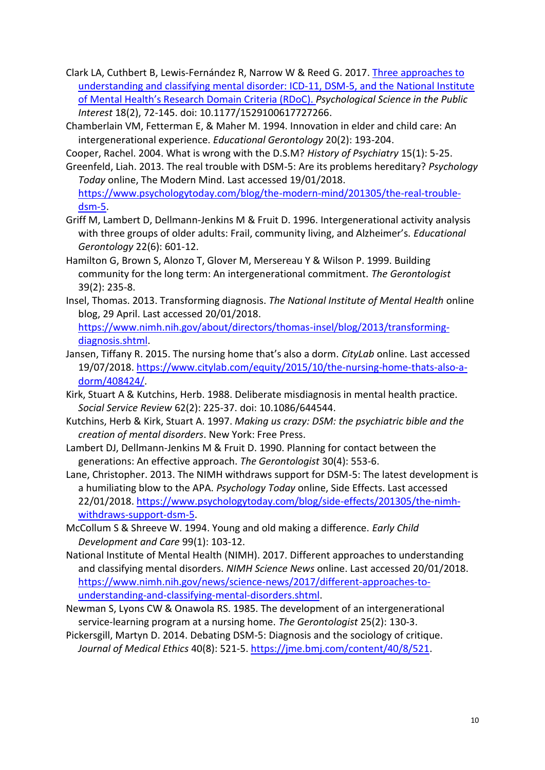- Clark LA, Cuthbert B, Lewis-Fernández R, Narrow W & Reed G. 2017. [Three approaches to](http://journals.sagepub.com/doi/full/10.1177/1529100617727266)  [understanding and classifying mental disorder: ICD-11, DSM-5, and the National Institute](http://journals.sagepub.com/doi/full/10.1177/1529100617727266)  [of Mental Health's Research Domain C](http://journals.sagepub.com/doi/full/10.1177/1529100617727266)riteria (RDoC). *Psychological Science in the Public Interest* 18(2), 72-145. doi: 10.1177/1529100617727266.
- Chamberlain VM, Fetterman E, & Maher M. 1994. Innovation in elder and child care: An intergenerational experience. *Educational Gerontology* 20(2): 193-204.
- Cooper, Rachel. 2004. What is wrong with the D.S.M? *History of Psychiatry* 15(1): 5-25.
- Greenfeld, Liah. 2013. The real trouble with DSM-5: Are its problems hereditary? *Psychology Today* online, The Modern Mind. Last accessed 19/01/2018. [https://www.psychologytoday.com/blog/the-modern-mind/201305/the-real-trouble](https://www.psychologytoday.com/blog/the-modern-mind/201305/the-real-trouble-dsm-5)[dsm-5.](https://www.psychologytoday.com/blog/the-modern-mind/201305/the-real-trouble-dsm-5)
- Griff M, Lambert D, Dellmann-Jenkins M & Fruit D. 1996. Intergenerational activity analysis with three groups of older adults: Frail, community living, and Alzheimer's. *Educational Gerontology* 22(6): 601-12.
- Hamilton G, Brown S, Alonzo T, Glover M, Mersereau Y & Wilson P. 1999. Building community for the long term: An intergenerational commitment. *The Gerontologist* 39(2): 235-8.
- Insel, Thomas. 2013. Transforming diagnosis. *The National Institute of Mental Health* online blog, 29 April. Last accessed 20/01/2018.

[https://www.nimh.nih.gov/about/directors/thomas-insel/blog/2013/transforming](https://www.nimh.nih.gov/about/directors/thomas-insel/blog/2013/transforming-diagnosis.shtml)[diagnosis.shtml.](https://www.nimh.nih.gov/about/directors/thomas-insel/blog/2013/transforming-diagnosis.shtml)

- Jansen, Tiffany R. 2015. The nursing home that's also a dorm. *CityLab* online. Last accessed 19/07/2018. [https://www.citylab.com/equity/2015/10/the-nursing-home-thats-also-a](https://www.citylab.com/equity/2015/10/the-nursing-home-thats-also-a-dorm/408424/)[dorm/408424/.](https://www.citylab.com/equity/2015/10/the-nursing-home-thats-also-a-dorm/408424/)
- Kirk, Stuart A & Kutchins, Herb. 1988. Deliberate misdiagnosis in mental health practice. *Social Service Review* 62(2): 225-37. doi: 10.1086/644544.
- Kutchins, Herb & Kirk, Stuart A. 1997. *Making us crazy: DSM: the psychiatric bible and the creation of mental disorders*. New York: Free Press.
- Lambert DJ, Dellmann-Jenkins M & Fruit D. 1990. Planning for contact between the generations: An effective approach. *The Gerontologist* 30(4): 553-6.
- Lane, Christopher. 2013. The NIMH withdraws support for DSM-5: The latest development is a humiliating blow to the APA. *Psychology Today* online, Side Effects. Last accessed 22/01/2018. [https://www.psychologytoday.com/blog/side-effects/201305/the-nimh](https://www.psychologytoday.com/blog/side-effects/201305/the-nimh-withdraws-support-dsm-5)[withdraws-support-dsm-5.](https://www.psychologytoday.com/blog/side-effects/201305/the-nimh-withdraws-support-dsm-5)
- McCollum S & Shreeve W. 1994. Young and old making a difference. *Early Child Development and Care* 99(1): 103-12.
- National Institute of Mental Health (NIMH). 2017. Different approaches to understanding and classifying mental disorders. *NIMH Science News* online. Last accessed 20/01/2018. [https://www.nimh.nih.gov/news/science-news/2017/different-approaches-to](https://www.nimh.nih.gov/news/science-news/2017/different-approaches-to-understanding-and-classifying-mental-disorders.shtml)[understanding-and-classifying-mental-disorders.shtml.](https://www.nimh.nih.gov/news/science-news/2017/different-approaches-to-understanding-and-classifying-mental-disorders.shtml)
- Newman S, Lyons CW & Onawola RS. 1985. The development of an intergenerational service-learning program at a nursing home. *The Gerontologist* 25(2): 130-3.
- Pickersgill, Martyn D. 2014. Debating DSM-5: Diagnosis and the sociology of critique. *Journal of Medical Ethics* 40(8): 521-5. [https://jme.bmj.com/content/40/8/521.](https://jme.bmj.com/content/40/8/521)